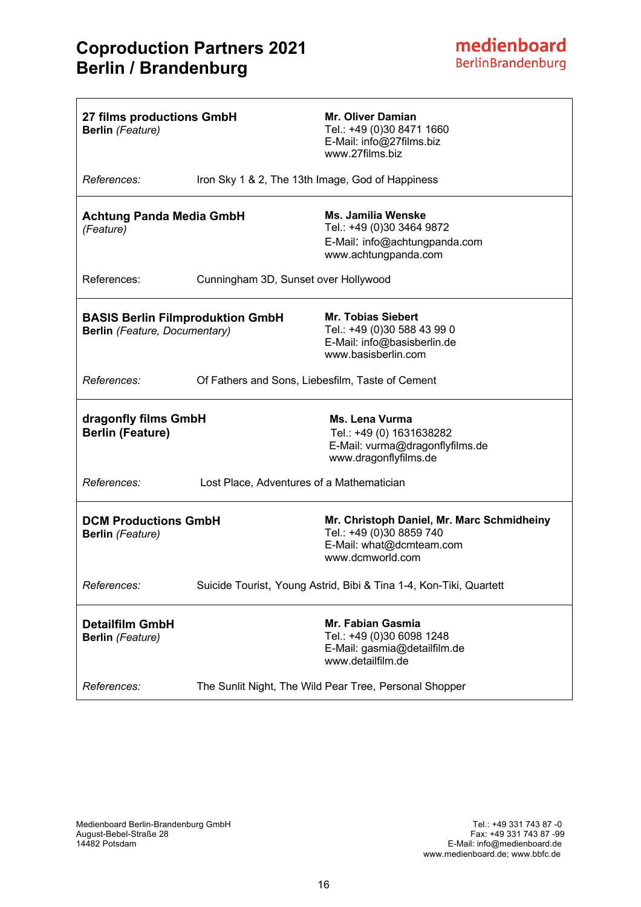| 27 films productions GmbH<br><b>Berlin</b> (Feature)                     |                                                  | <b>Mr. Oliver Damian</b><br>Tel.: +49 (0)30 8471 1660<br>E-Mail: info@27films.biz<br>www.27films.biz                   |
|--------------------------------------------------------------------------|--------------------------------------------------|------------------------------------------------------------------------------------------------------------------------|
| References:                                                              | Iron Sky 1 & 2, The 13th Image, God of Happiness |                                                                                                                        |
| <b>Achtung Panda Media GmbH</b><br>(Feature)                             |                                                  | <b>Ms. Jamilia Wenske</b><br>Tel.: +49 (0)30 3464 9872<br>E-Mail: info@achtungpanda.com<br>www.achtungpanda.com        |
| References:                                                              | Cunningham 3D, Sunset over Hollywood             |                                                                                                                        |
| <b>BASIS Berlin Filmproduktion GmbH</b><br>Berlin (Feature, Documentary) |                                                  | <b>Mr. Tobias Siebert</b><br>Tel.: +49 (0)30 588 43 99 0<br>E-Mail: info@basisberlin.de<br>www.basisberlin.com         |
| References:                                                              | Of Fathers and Sons, Liebesfilm, Taste of Cement |                                                                                                                        |
| dragonfly films GmbH<br><b>Berlin (Feature)</b>                          |                                                  | Ms. Lena Vurma<br>Tel.: +49 (0) 1631638282<br>E-Mail: vurma@dragonflyfilms.de<br>www.dragonflyfilms.de                 |
| References:                                                              | Lost Place, Adventures of a Mathematician        |                                                                                                                        |
| <b>DCM Productions GmbH</b><br><b>Berlin</b> (Feature)                   |                                                  | Mr. Christoph Daniel, Mr. Marc Schmidheiny<br>Tel.: +49 (0)30 8859 740<br>E-Mail: what@dcmteam.com<br>www.dcmworld.com |
| References:                                                              |                                                  | Suicide Tourist, Young Astrid, Bibi & Tina 1-4, Kon-Tiki, Quartett                                                     |
| <b>Detailfilm GmbH</b><br><b>Berlin</b> (Feature)                        |                                                  | <b>Mr. Fabian Gasmia</b><br>Tel.: +49 (0)30 6098 1248<br>E-Mail: gasmia@detailfilm.de<br>www.detailfilm.de             |
| References:                                                              |                                                  | The Sunlit Night, The Wild Pear Tree, Personal Shopper                                                                 |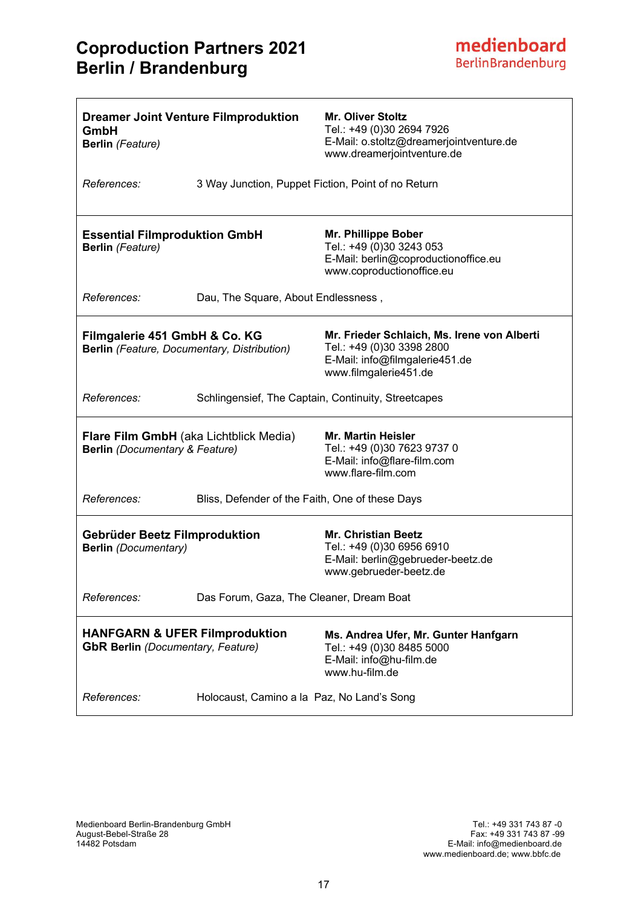# **Coproduction Partners 2021 Berlin / Brandenburg**

| GmbH<br><b>Berlin</b> (Feature)                                                        | <b>Dreamer Joint Venture Filmproduktion</b>        | <b>Mr. Oliver Stoltz</b><br>Tel.: +49 (0)30 2694 7926<br>E-Mail: o.stoltz@dreamerjointventure.de<br>www.dreamerjointventure.de      |
|----------------------------------------------------------------------------------------|----------------------------------------------------|-------------------------------------------------------------------------------------------------------------------------------------|
| References:                                                                            | 3 Way Junction, Puppet Fiction, Point of no Return |                                                                                                                                     |
| <b>Essential Filmproduktion GmbH</b><br><b>Berlin</b> (Feature)                        |                                                    | Mr. Phillippe Bober<br>Tel.: +49 (0)30 3243 053<br>E-Mail: berlin@coproductionoffice.eu<br>www.coproductionoffice.eu                |
| References:                                                                            | Dau, The Square, About Endlessness,                |                                                                                                                                     |
| Filmgalerie 451 GmbH & Co. KG<br><b>Berlin</b> (Feature, Documentary, Distribution)    |                                                    | Mr. Frieder Schlaich, Ms. Irene von Alberti<br>Tel.: +49 (0)30 3398 2800<br>E-Mail: info@filmgalerie451.de<br>www.filmgalerie451.de |
| References:                                                                            |                                                    | Schlingensief, The Captain, Continuity, Streetcapes                                                                                 |
| <b>Flare Film GmbH</b> (aka Lichtblick Media)<br><b>Berlin</b> (Documentary & Feature) |                                                    | <b>Mr. Martin Heisler</b><br>Tel.: +49 (0)30 7623 9737 0<br>E-Mail: info@flare-film.com<br>www.flare-film.com                       |
| References:                                                                            | Bliss, Defender of the Faith, One of these Days    |                                                                                                                                     |
| <b>Gebrüder Beetz Filmproduktion</b><br><b>Berlin</b> (Documentary)                    |                                                    | <b>Mr. Christian Beetz</b><br>Tel.: +49 (0)30 6956 6910<br>E-Mail: berlin@gebrueder-beetz.de<br>www.gebrueder-beetz.de              |
| References:                                                                            | Das Forum, Gaza, The Cleaner, Dream Boat           |                                                                                                                                     |
| <b>HANFGARN &amp; UFER Filmproduktion</b><br><b>GbR Berlin</b> (Documentary, Feature)  |                                                    | Ms. Andrea Ufer, Mr. Gunter Hanfgarn<br>Tel.: +49 (0)30 8485 5000<br>E-Mail: info@hu-film.de<br>www.hu-film.de                      |
| References:                                                                            | Holocaust, Camino a la Paz, No Land's Song         |                                                                                                                                     |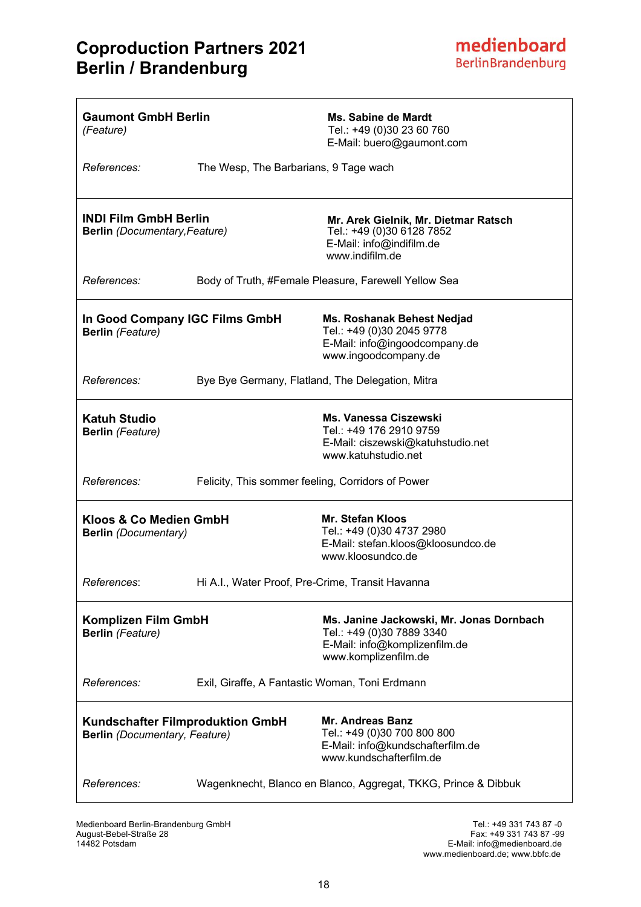# **Coproduction Partners 2021 Berlin / Brandenburg**

| <b>Gaumont GmbH Berlin</b><br>(Feature)                                         |                                                   | Ms. Sabine de Mardt<br>Tel.: +49 (0)30 23 60 760<br>E-Mail: buero@gaumont.com                                                  |
|---------------------------------------------------------------------------------|---------------------------------------------------|--------------------------------------------------------------------------------------------------------------------------------|
| References:                                                                     | The Wesp, The Barbarians, 9 Tage wach             |                                                                                                                                |
| <b>INDI Film GmbH Berlin</b><br><b>Berlin</b> (Documentary, Feature)            |                                                   | Mr. Arek Gielnik, Mr. Dietmar Ratsch<br>Tel.: +49 (0)30 6128 7852<br>E-Mail: info@indifilm.de<br>www.indifilm.de               |
| References:                                                                     |                                                   | Body of Truth, #Female Pleasure, Farewell Yellow Sea                                                                           |
| In Good Company IGC Films GmbH<br><b>Berlin</b> (Feature)                       |                                                   | Ms. Roshanak Behest Nedjad<br>Tel.: +49 (0)30 2045 9778<br>E-Mail: info@ingoodcompany.de<br>www.ingoodcompany.de               |
| References:                                                                     | Bye Bye Germany, Flatland, The Delegation, Mitra  |                                                                                                                                |
| <b>Katuh Studio</b><br><b>Berlin</b> (Feature)                                  |                                                   | <b>Ms. Vanessa Ciszewski</b><br>Tel.: +49 176 2910 9759<br>E-Mail: ciszewski@katuhstudio.net<br>www.katuhstudio.net            |
| References:                                                                     | Felicity, This sommer feeling, Corridors of Power |                                                                                                                                |
| Kloos & Co Medien GmbH<br><b>Berlin</b> (Documentary)                           |                                                   | <b>Mr. Stefan Kloos</b><br>Tel.: +49 (0)30 4737 2980<br>E-Mail: stefan.kloos@kloosundco.de<br>www.kloosundco.de                |
| References:                                                                     | Hi A.I., Water Proof, Pre-Crime, Transit Havanna  |                                                                                                                                |
| <b>Komplizen Film GmbH</b><br><b>Berlin</b> (Feature)                           |                                                   | Ms. Janine Jackowski, Mr. Jonas Dornbach<br>Tel.: +49 (0)30 7889 3340<br>E-Mail: info@komplizenfilm.de<br>www.komplizenfilm.de |
| References:                                                                     | Exil, Giraffe, A Fantastic Woman, Toni Erdmann    |                                                                                                                                |
| <b>Kundschafter Filmproduktion GmbH</b><br><b>Berlin</b> (Documentary, Feature) |                                                   | <b>Mr. Andreas Banz</b><br>Tel.: +49 (0)30 700 800 800<br>E-Mail: info@kundschafterfilm.de<br>www.kundschafterfilm.de          |
| References:                                                                     |                                                   | Wagenknecht, Blanco en Blanco, Aggregat, TKKG, Prince & Dibbuk                                                                 |

Medienboard Berlin-Brandenburg GmbH<br>August-Bebel-Straße 28 Medienboard Berlin-Brandenburg GmbH<br>August-Bebel-Straße 28 Fax: +49 331 743 87 -99<br>E-Mail: info@medienboard.de<br>E-Mail: info@medienboard.de 14482 Potsdam E-Mail: info@medienboard.de

www.medienboard.de; www.bbfc.de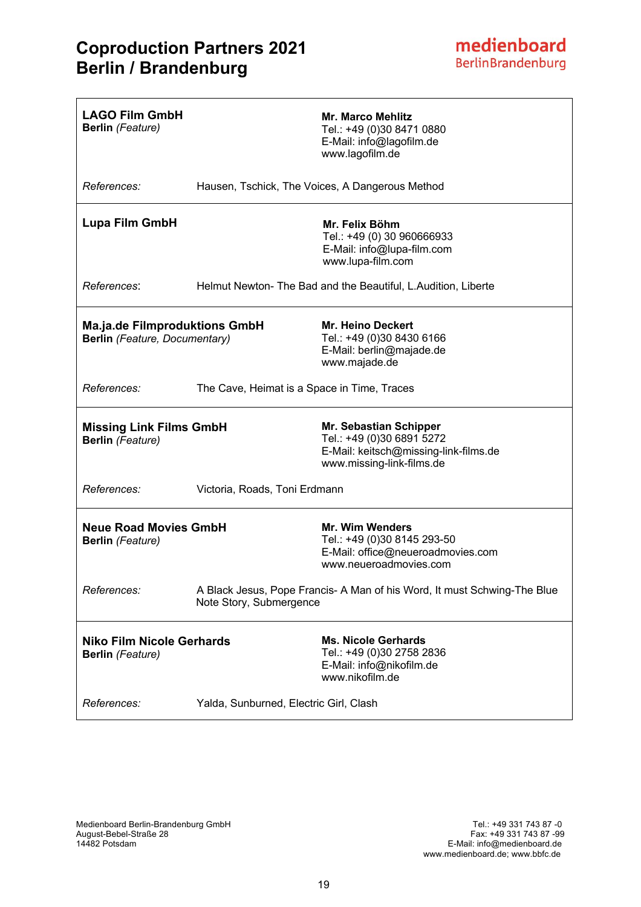| <b>LAGO Film GmbH</b><br><b>Berlin</b> (Feature)                      |                                             | <b>Mr. Marco Mehlitz</b><br>Tel.: +49 (0)30 8471 0880<br>E-Mail: info@lagofilm.de<br>www.lagofilm.de                             |
|-----------------------------------------------------------------------|---------------------------------------------|----------------------------------------------------------------------------------------------------------------------------------|
| References:                                                           |                                             | Hausen, Tschick, The Voices, A Dangerous Method                                                                                  |
| <b>Lupa Film GmbH</b>                                                 |                                             | Mr. Felix Böhm<br>Tel.: +49 (0) 30 960666933<br>E-Mail: info@lupa-film.com<br>www.lupa-film.com                                  |
| References:                                                           |                                             | Helmut Newton- The Bad and the Beautiful, L.Audition, Liberte                                                                    |
| <b>Ma.ja.de Filmproduktions GmbH</b><br>Berlin (Feature, Documentary) |                                             | Mr. Heino Deckert<br>Tel.: +49 (0)30 8430 6166<br>E-Mail: berlin@majade.de<br>www.majade.de                                      |
| References:                                                           | The Cave, Heimat is a Space in Time, Traces |                                                                                                                                  |
| <b>Missing Link Films GmbH</b><br><b>Berlin</b> (Feature)             |                                             | <b>Mr. Sebastian Schipper</b><br>Tel.: +49 (0)30 6891 5272<br>E-Mail: keitsch@missing-link-films.de<br>www.missing-link-films.de |
| References:                                                           | Victoria, Roads, Toni Erdmann               |                                                                                                                                  |
| <b>Neue Road Movies GmbH</b><br><b>Berlin</b> (Feature)               |                                             | <b>Mr. Wim Wenders</b><br>Tel.: +49 (0)30 8145 293-50<br>E-Mail: office@neueroadmovies.com<br>www.neueroadmovies.com             |
| References:                                                           | Note Story, Submergence                     | A Black Jesus, Pope Francis- A Man of his Word, It must Schwing-The Blue                                                         |
| <b>Niko Film Nicole Gerhards</b><br><b>Berlin</b> (Feature)           |                                             | <b>Ms. Nicole Gerhards</b><br>Tel.: +49 (0)30 2758 2836<br>E-Mail: info@nikofilm.de<br>www.nikofilm.de                           |
| References:                                                           | Yalda, Sunburned, Electric Girl, Clash      |                                                                                                                                  |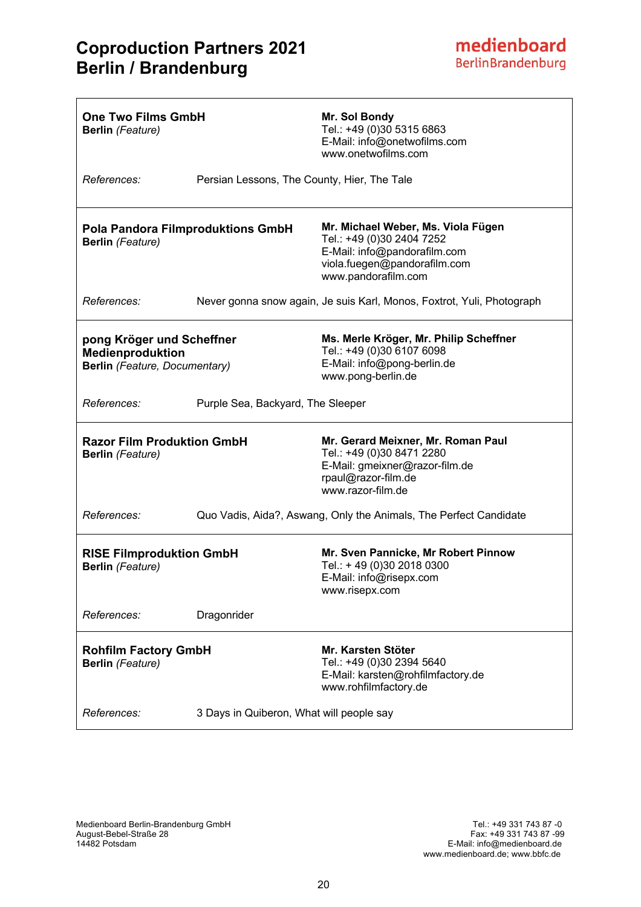| <b>One Two Films GmbH</b><br><b>Berlin</b> (Feature)                                  |                                             | Mr. Sol Bondy<br>Tel.: +49 (0)30 5315 6863<br>E-Mail: info@onetwofilms.com<br>www.onetwofilms.com                                                      |
|---------------------------------------------------------------------------------------|---------------------------------------------|--------------------------------------------------------------------------------------------------------------------------------------------------------|
| References:                                                                           | Persian Lessons, The County, Hier, The Tale |                                                                                                                                                        |
| <b>Pola Pandora Filmproduktions GmbH</b><br><b>Berlin</b> (Feature)                   |                                             | Mr. Michael Weber, Ms. Viola Fügen<br>Tel.: +49 (0)30 2404 7252<br>E-Mail: info@pandorafilm.com<br>viola.fuegen@pandorafilm.com<br>www.pandorafilm.com |
| References:                                                                           |                                             | Never gonna snow again, Je suis Karl, Monos, Foxtrot, Yuli, Photograph                                                                                 |
| pong Kröger und Scheffner<br><b>Medienproduktion</b><br>Berlin (Feature, Documentary) |                                             | Ms. Merle Kröger, Mr. Philip Scheffner<br>Tel.: +49 (0)30 6107 6098<br>E-Mail: info@pong-berlin.de<br>www.pong-berlin.de                               |
| References:                                                                           | Purple Sea, Backyard, The Sleeper           |                                                                                                                                                        |
| <b>Razor Film Produktion GmbH</b><br><b>Berlin</b> (Feature)                          |                                             | Mr. Gerard Meixner, Mr. Roman Paul<br>Tel.: +49 (0)30 8471 2280<br>E-Mail: gmeixner@razor-film.de<br>rpaul@razor-film.de<br>www.razor-film.de          |
| References:                                                                           |                                             | Quo Vadis, Aida?, Aswang, Only the Animals, The Perfect Candidate                                                                                      |
| <b>RISE Filmproduktion GmbH</b><br><b>Berlin</b> (Feature)                            |                                             | Mr. Sven Pannicke, Mr Robert Pinnow<br>Tel.: +49 (0)30 2018 0300<br>E-Mail: info@risepx.com<br>www.risepx.com                                          |
| References:                                                                           | Dragonrider                                 |                                                                                                                                                        |
| <b>Rohfilm Factory GmbH</b><br><b>Berlin</b> (Feature)                                |                                             | Mr. Karsten Stöter<br>Tel.: +49 (0)30 2394 5640<br>E-Mail: karsten@rohfilmfactory.de<br>www.rohfilmfactory.de                                          |
| References:                                                                           | 3 Days in Quiberon, What will people say    |                                                                                                                                                        |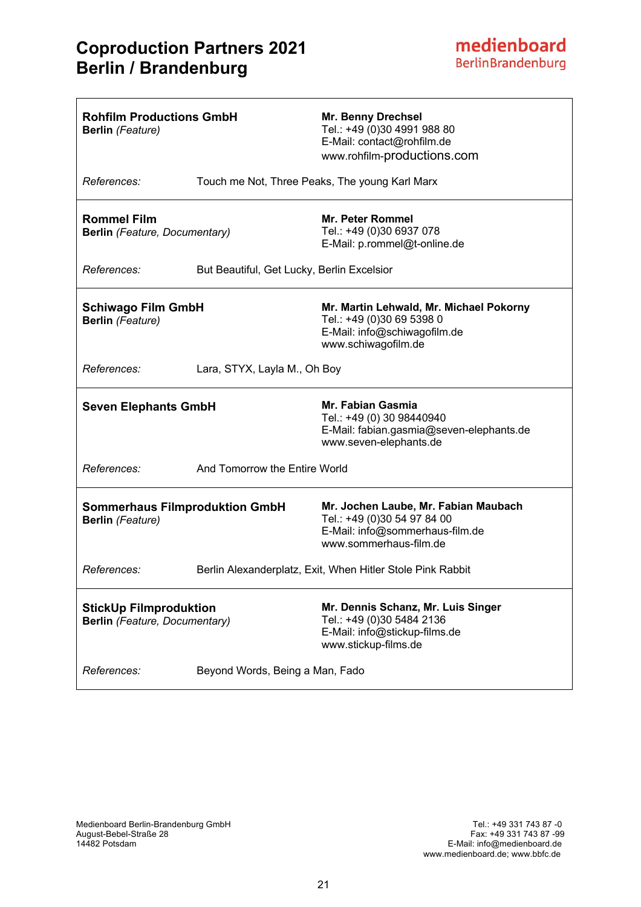| <b>Rohfilm Productions GmbH</b><br><b>Berlin</b> (Feature)       |                                            | <b>Mr. Benny Drechsel</b><br>Tel.: +49 (0)30 4991 988 80<br>E-Mail: contact@rohfilm.de<br>www.rohfilm-productions.com            |
|------------------------------------------------------------------|--------------------------------------------|----------------------------------------------------------------------------------------------------------------------------------|
| References:                                                      |                                            | Touch me Not, Three Peaks, The young Karl Marx                                                                                   |
| <b>Rommel Film</b><br>Berlin (Feature, Documentary)              |                                            | <b>Mr. Peter Rommel</b><br>Tel.: +49 (0)30 6937 078<br>E-Mail: p.rommel@t-online.de                                              |
| References:                                                      | But Beautiful, Get Lucky, Berlin Excelsior |                                                                                                                                  |
| <b>Schiwago Film GmbH</b><br><b>Berlin</b> (Feature)             |                                            | Mr. Martin Lehwald, Mr. Michael Pokorny<br>Tel.: +49 (0)30 69 5398 0<br>E-Mail: info@schiwagofilm.de<br>www.schiwagofilm.de      |
| References:                                                      | Lara, STYX, Layla M., Oh Boy               |                                                                                                                                  |
| <b>Seven Elephants GmbH</b>                                      |                                            | Mr. Fabian Gasmia<br>Tel.: +49 (0) 30 98440940<br>E-Mail: fabian.gasmia@seven-elephants.de<br>www.seven-elephants.de             |
| References:                                                      | And Tomorrow the Entire World              |                                                                                                                                  |
| <b>Sommerhaus Filmproduktion GmbH</b><br><b>Berlin</b> (Feature) |                                            | Mr. Jochen Laube, Mr. Fabian Maubach<br>Tel.: +49 (0)30 54 97 84 00<br>E-Mail: info@sommerhaus-film.de<br>www.sommerhaus-film.de |
| References:                                                      |                                            | Berlin Alexanderplatz, Exit, When Hitler Stole Pink Rabbit                                                                       |
| <b>StickUp Filmproduktion</b><br>Berlin (Feature, Documentary)   |                                            | Mr. Dennis Schanz, Mr. Luis Singer<br>Tel.: +49 (0)30 5484 2136<br>E-Mail: info@stickup-films.de<br>www.stickup-films.de         |
| References:                                                      | Beyond Words, Being a Man, Fado            |                                                                                                                                  |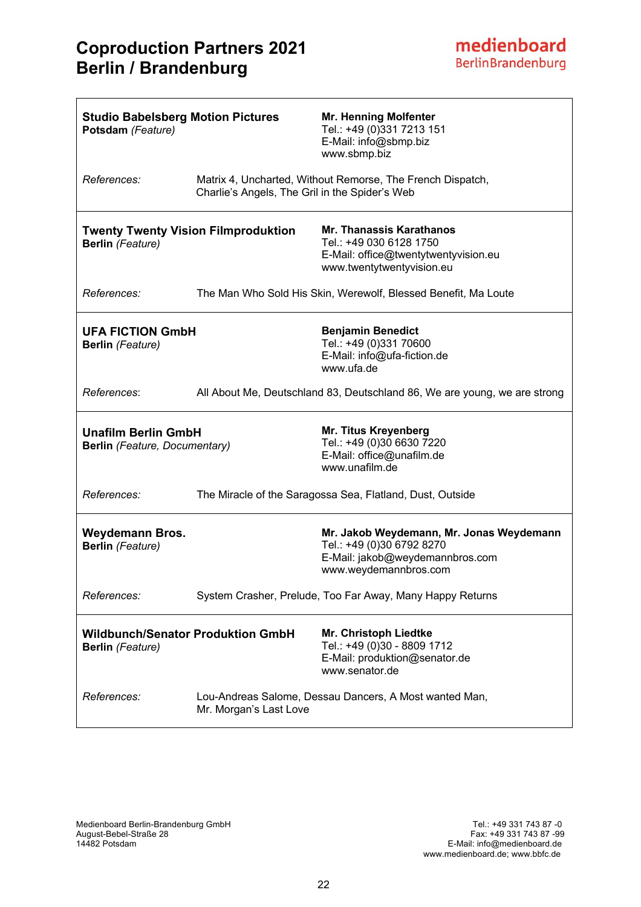| <b>Studio Babelsberg Motion Pictures</b><br>Potsdam (Feature)       |                                                | <b>Mr. Henning Molfenter</b><br>Tel.: +49 (0)331 7213 151<br>E-Mail: info@sbmp.biz<br>www.sbmp.biz                                |
|---------------------------------------------------------------------|------------------------------------------------|-----------------------------------------------------------------------------------------------------------------------------------|
| References:                                                         | Charlie's Angels, The Gril in the Spider's Web | Matrix 4, Uncharted, Without Remorse, The French Dispatch,                                                                        |
| <b>Berlin</b> (Feature)                                             | <b>Twenty Twenty Vision Filmproduktion</b>     | <b>Mr. Thanassis Karathanos</b><br>Tel.: +49 030 6128 1750<br>E-Mail: office@twentytwentyvision.eu<br>www.twentytwentyvision.eu   |
| References:                                                         |                                                | The Man Who Sold His Skin, Werewolf, Blessed Benefit, Ma Loute                                                                    |
| <b>UFA FICTION GmbH</b><br><b>Berlin</b> (Feature)                  |                                                | <b>Benjamin Benedict</b><br>Tel.: +49 (0)331 70600<br>E-Mail: info@ufa-fiction.de<br>www.ufa.de                                   |
| References:                                                         |                                                | All About Me, Deutschland 83, Deutschland 86, We are young, we are strong                                                         |
| <b>Unafilm Berlin GmbH</b><br>Berlin (Feature, Documentary)         |                                                | <b>Mr. Titus Kreyenberg</b><br>Tel.: +49 (0)30 6630 7220<br>E-Mail: office@unafilm.de<br>www.unafilm.de                           |
| References:                                                         |                                                | The Miracle of the Saragossa Sea, Flatland, Dust, Outside                                                                         |
| <b>Weydemann Bros.</b><br><b>Berlin</b> (Feature)                   |                                                | Mr. Jakob Weydemann, Mr. Jonas Weydemann<br>Tel.: +49 (0)30 6792 8270<br>E-Mail: jakob@weydemannbros.com<br>www.weydemannbros.com |
| References:                                                         |                                                | System Crasher, Prelude, Too Far Away, Many Happy Returns                                                                         |
| <b>Wildbunch/Senator Produktion GmbH</b><br><b>Berlin</b> (Feature) |                                                | Mr. Christoph Liedtke<br>Tel.: +49 (0)30 - 8809 1712<br>E-Mail: produktion@senator.de<br>www.senator.de                           |
| References:                                                         | Mr. Morgan's Last Love                         | Lou-Andreas Salome, Dessau Dancers, A Most wanted Man,                                                                            |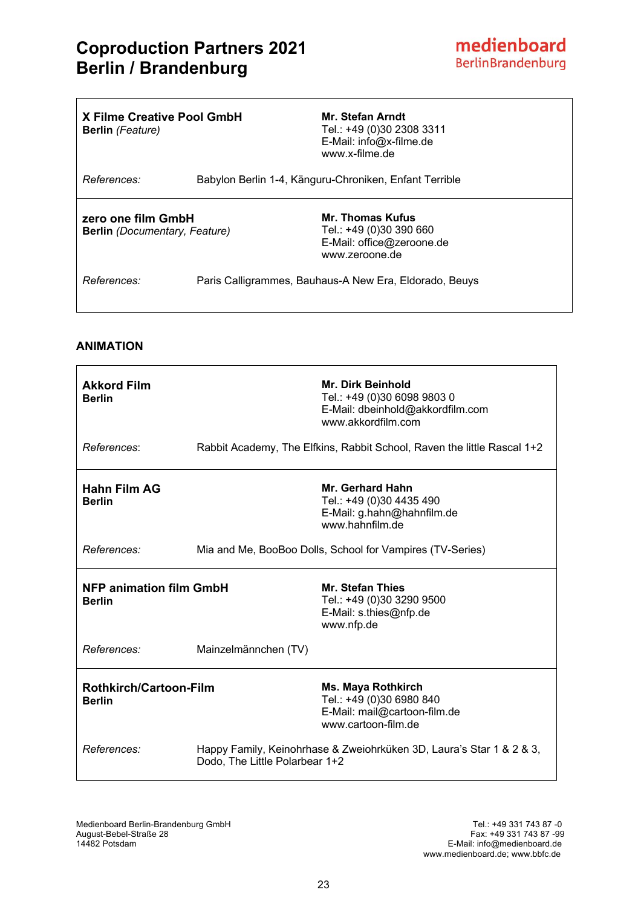$\overline{\phantom{a}}$ 

| X Filme Creative Pool GmbH<br><b>Berlin</b> (Feature)      | Mr. Stefan Arndt<br>Tel.: +49 (0)30 2308 3311<br>E-Mail: info@x-filme.de<br>www.x-filme.de        |
|------------------------------------------------------------|---------------------------------------------------------------------------------------------------|
| References:                                                | Babylon Berlin 1-4, Känguru-Chroniken, Enfant Terrible                                            |
| zero one film GmbH<br><b>Berlin</b> (Documentary, Feature) | <b>Mr. Thomas Kufus</b><br>Tel.: +49 (0)30 390 660<br>E-Mail: office@zeroone.de<br>www.zeroone.de |
| References:                                                | Paris Calligrammes, Bauhaus-A New Era, Eldorado, Beuys                                            |

### **ANIMATION**

 $\Gamma$ 

| <b>Akkord Film</b><br><b>Berlin</b>             |                                                           | Mr. Dirk Beinhold<br>Tel.: +49 (0)30 6098 9803 0<br>E-Mail: dbeinhold@akkordfilm.com<br>www.akkordfilm.com   |
|-------------------------------------------------|-----------------------------------------------------------|--------------------------------------------------------------------------------------------------------------|
| References:                                     |                                                           | Rabbit Academy, The Elfkins, Rabbit School, Raven the little Rascal 1+2                                      |
| <b>Hahn Film AG</b><br><b>Berlin</b>            |                                                           | Mr. Gerhard Hahn<br>Tel.: +49 (0)30 4435 490<br>E-Mail: g.hahn@hahnfilm.de<br>www hahnfilm de                |
| References:                                     | Mia and Me, BooBoo Dolls, School for Vampires (TV-Series) |                                                                                                              |
| <b>NFP animation film GmbH</b><br><b>Berlin</b> |                                                           | <b>Mr. Stefan Thies</b><br>Tel.: +49 (0)30 3290 9500                                                         |
|                                                 |                                                           | E-Mail: s.thies@nfp.de<br>www.nfp.de                                                                         |
| References:                                     | Mainzelmännchen (TV)                                      |                                                                                                              |
| <b>Rothkirch/Cartoon-Film</b><br><b>Berlin</b>  |                                                           | <b>Ms. Maya Rothkirch</b><br>Tel.: +49 (0)30 6980 840<br>E-Mail: mail@cartoon-film.de<br>www.cartoon-film.de |